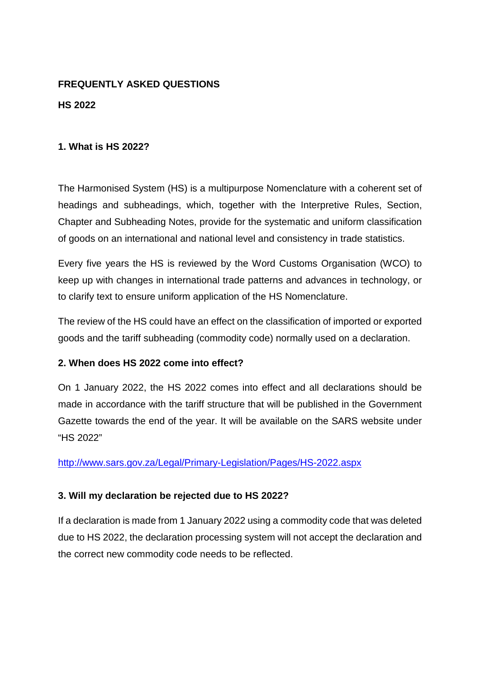## **FREQUENTLY ASKED QUESTIONS HS 2022**

#### **1. What is HS 2022?**

The Harmonised System (HS) is a multipurpose Nomenclature with a coherent set of headings and subheadings, which, together with the Interpretive Rules, Section, Chapter and Subheading Notes, provide for the systematic and uniform classification of goods on an international and national level and consistency in trade statistics.

Every five years the HS is reviewed by the Word Customs Organisation (WCO) to keep up with changes in international trade patterns and advances in technology, or to clarify text to ensure uniform application of the HS Nomenclature.

The review of the HS could have an effect on the classification of imported or exported goods and the tariff subheading (commodity code) normally used on a declaration.

#### **2. When does HS 2022 come into effect?**

On 1 January 2022, the HS 2022 comes into effect and all declarations should be made in accordance with the tariff structure that will be published in the Government Gazette towards the end of the year. It will be available on the SARS website under "HS 2022"

<http://www.sars.gov.za/Legal/Primary-Legislation/Pages/HS-2022.aspx>

#### **3. Will my declaration be rejected due to HS 2022?**

If a declaration is made from 1 January 2022 using a commodity code that was deleted due to HS 2022, the declaration processing system will not accept the declaration and the correct new commodity code needs to be reflected.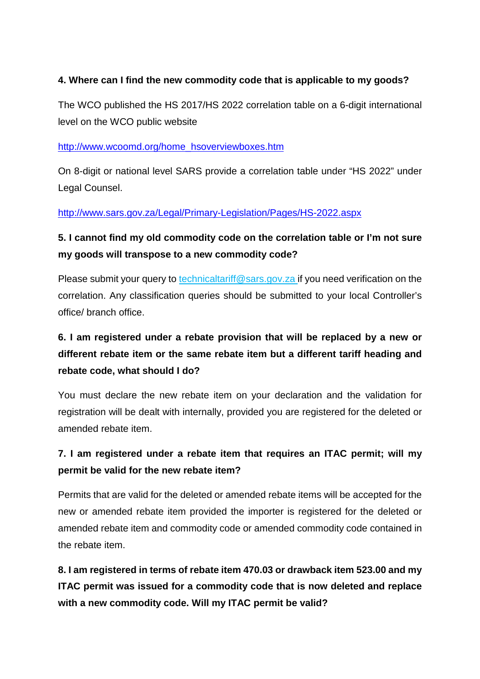#### **4. Where can I find the new commodity code that is applicable to my goods?**

The WCO published the HS 2017/HS 2022 correlation table on a 6-digit international level on the WCO public website

#### [http://www.wcoomd.org/home\\_hsoverviewboxes.htm](http://www.wcoomd.org/home_hsoverviewboxes.htm)

On 8-digit or national level SARS provide a correlation table under "HS 2022" under Legal Counsel.

#### <http://www.sars.gov.za/Legal/Primary-Legislation/Pages/HS-2022.aspx>

### **5. I cannot find my old commodity code on the correlation table or I'm not sure my goods will transpose to a new commodity code?**

Please submit your query to technicaltariff@sars.gov.za if you need verification on the correlation. Any classification queries should be submitted to your local Controller's office/ branch office.

# **6. I am registered under a rebate provision that will be replaced by a new or different rebate item or the same rebate item but a different tariff heading and rebate code, what should I do?**

You must declare the new rebate item on your declaration and the validation for registration will be dealt with internally, provided you are registered for the deleted or amended rebate item.

### **7. I am registered under a rebate item that requires an ITAC permit; will my permit be valid for the new rebate item?**

Permits that are valid for the deleted or amended rebate items will be accepted for the new or amended rebate item provided the importer is registered for the deleted or amended rebate item and commodity code or amended commodity code contained in the rebate item.

**8. I am registered in terms of rebate item 470.03 or drawback item 523.00 and my ITAC permit was issued for a commodity code that is now deleted and replace with a new commodity code. Will my ITAC permit be valid?**